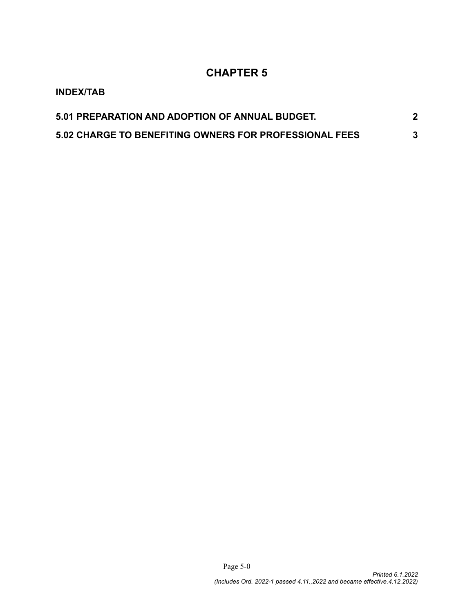## **CHAPTER 5**

| <b>INDEX/TAB</b>                                              |   |
|---------------------------------------------------------------|---|
| 5.01 PREPARATION AND ADOPTION OF ANNUAL BUDGET.               |   |
| <b>5.02 CHARGE TO BENEFITING OWNERS FOR PROFESSIONAL FEES</b> | 3 |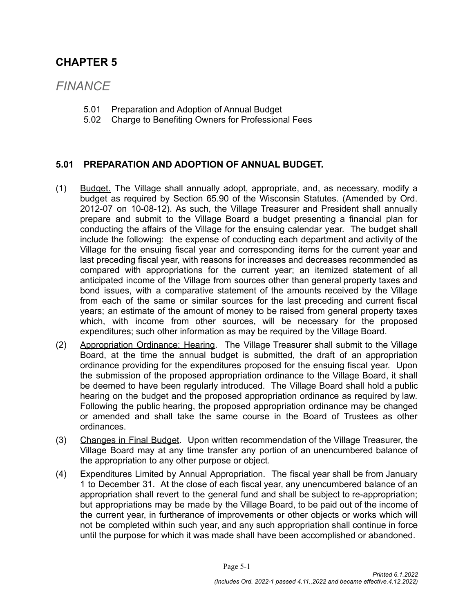### **CHAPTER 5**

# *FINANCE*

- 5.01 Preparation and Adoption of Annual Budget
- 5.02 Charge to Benefiting Owners for Professional Fees

#### <span id="page-1-0"></span>**5.01 PREPARATION AND ADOPTION OF ANNUAL BUDGET.**

- (1) Budget. The Village shall annually adopt, appropriate, and, as necessary, modify a budget as required by Section 65.90 of the Wisconsin Statutes. (Amended by Ord. 2012-07 on 10-08-12). As such, the Village Treasurer and President shall annually prepare and submit to the Village Board a budget presenting a financial plan for conducting the affairs of the Village for the ensuing calendar year. The budget shall include the following: the expense of conducting each department and activity of the Village for the ensuing fiscal year and corresponding items for the current year and last preceding fiscal year, with reasons for increases and decreases recommended as compared with appropriations for the current year; an itemized statement of all anticipated income of the Village from sources other than general property taxes and bond issues, with a comparative statement of the amounts received by the Village from each of the same or similar sources for the last preceding and current fiscal years; an estimate of the amount of money to be raised from general property taxes which, with income from other sources, will be necessary for the proposed expenditures; such other information as may be required by the Village Board.
- (2) Appropriation Ordinance; Hearing. The Village Treasurer shall submit to the Village Board, at the time the annual budget is submitted, the draft of an appropriation ordinance providing for the expenditures proposed for the ensuing fiscal year. Upon the submission of the proposed appropriation ordinance to the Village Board, it shall be deemed to have been regularly introduced. The Village Board shall hold a public hearing on the budget and the proposed appropriation ordinance as required by law. Following the public hearing, the proposed appropriation ordinance may be changed or amended and shall take the same course in the Board of Trustees as other ordinances.
- (3) Changes in Final Budget. Upon written recommendation of the Village Treasurer, the Village Board may at any time transfer any portion of an unencumbered balance of the appropriation to any other purpose or object.
- (4) Expenditures Limited by Annual Appropriation. The fiscal year shall be from January 1 to December 31. At the close of each fiscal year, any unencumbered balance of an appropriation shall revert to the general fund and shall be subject to re-appropriation; but appropriations may be made by the Village Board, to be paid out of the income of the current year, in furtherance of improvements or other objects or works which will not be completed within such year, and any such appropriation shall continue in force until the purpose for which it was made shall have been accomplished or abandoned.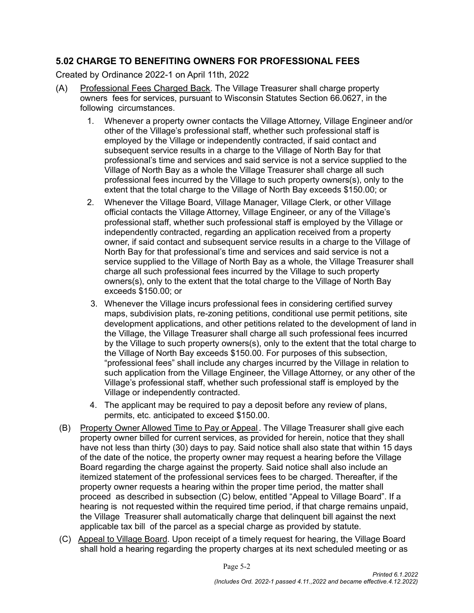#### <span id="page-2-0"></span>**5.02 CHARGE TO BENEFITING OWNERS FOR PROFESSIONAL FEES**

Created by Ordinance 2022-1 on April 11th, 2022

- (A) Professional Fees Charged Back. The Village Treasurer shall charge property owners fees for services, pursuant to Wisconsin Statutes Section 66.0627, in the following circumstances.
	- 1. Whenever a property owner contacts the Village Attorney, Village Engineer and/or other of the Village's professional staff, whether such professional staff is employed by the Village or independently contracted, if said contact and subsequent service results in a charge to the Village of North Bay for that professional's time and services and said service is not a service supplied to the Village of North Bay as a whole the Village Treasurer shall charge all such professional fees incurred by the Village to such property owners(s), only to the extent that the total charge to the Village of North Bay exceeds \$150.00; or
	- 2. Whenever the Village Board, Village Manager, Village Clerk, or other Village official contacts the Village Attorney, Village Engineer, or any of the Village's professional staff, whether such professional staff is employed by the Village or independently contracted, regarding an application received from a property owner, if said contact and subsequent service results in a charge to the Village of North Bay for that professional's time and services and said service is not a service supplied to the Village of North Bay as a whole, the Village Treasurer shall charge all such professional fees incurred by the Village to such property owners(s), only to the extent that the total charge to the Village of North Bay exceeds \$150.00; or
	- 3. Whenever the Village incurs professional fees in considering certified survey maps, subdivision plats, re-zoning petitions, conditional use permit petitions, site development applications, and other petitions related to the development of land in the Village, the Village Treasurer shall charge all such professional fees incurred by the Village to such property owners(s), only to the extent that the total charge to the Village of North Bay exceeds \$150.00. For purposes of this subsection, "professional fees" shall include any charges incurred by the Village in relation to such application from the Village Engineer, the Village Attorney, or any other of the Village's professional staff, whether such professional staff is employed by the Village or independently contracted.
	- 4. The applicant may be required to pay a deposit before any review of plans, permits, etc. anticipated to exceed \$150.00.
- (B) Property Owner Allowed Time to Pay or Appeal. The Village Treasurer shall give each property owner billed for current services, as provided for herein, notice that they shall have not less than thirty (30) days to pay. Said notice shall also state that within 15 days of the date of the notice, the property owner may request a hearing before the Village Board regarding the charge against the property. Said notice shall also include an itemized statement of the professional services fees to be charged. Thereafter, if the property owner requests a hearing within the proper time period, the matter shall proceed as described in subsection (C) below, entitled "Appeal to Village Board". If a hearing is not requested within the required time period, if that charge remains unpaid, the Village Treasurer shall automatically charge that delinquent bill against the next applicable tax bill of the parcel as a special charge as provided by statute.
- (C) Appeal to Village Board. Upon receipt of a timely request for hearing, the Village Board shall hold a hearing regarding the property charges at its next scheduled meeting or as